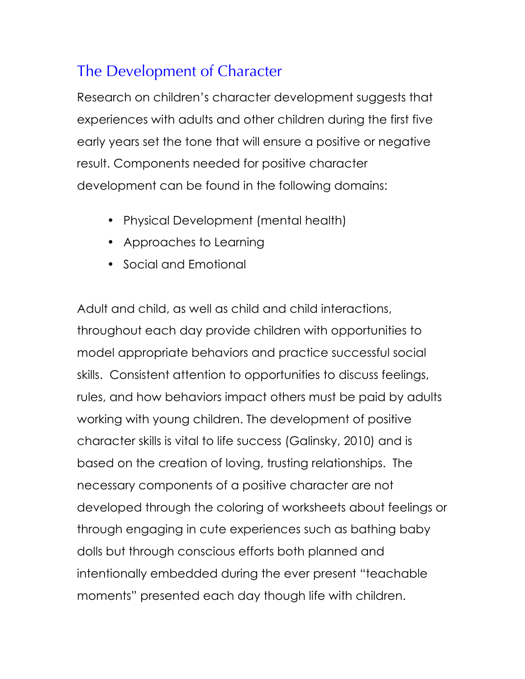## The Development of Character

Research on children's character development suggests that experiences with adults and other children during the first five early years set the tone that will ensure a positive or negative result. Components needed for positive character development can be found in the following domains:

- Physical Development (mental health)
- Approaches to Learning
- Social and Emotional

Adult and child, as well as child and child interactions, throughout each day provide children with opportunities to model appropriate behaviors and practice successful social skills. Consistent attention to opportunities to discuss feelings, rules, and how behaviors impact others must be paid by adults working with young children. The development of positive character skills is vital to life success (Galinsky, 2010) and is based on the creation of loving, trusting relationships. The necessary components of a positive character are not developed through the coloring of worksheets about feelings or through engaging in cute experiences such as bathing baby dolls but through conscious efforts both planned and intentionally embedded during the ever present "teachable moments" presented each day though life with children.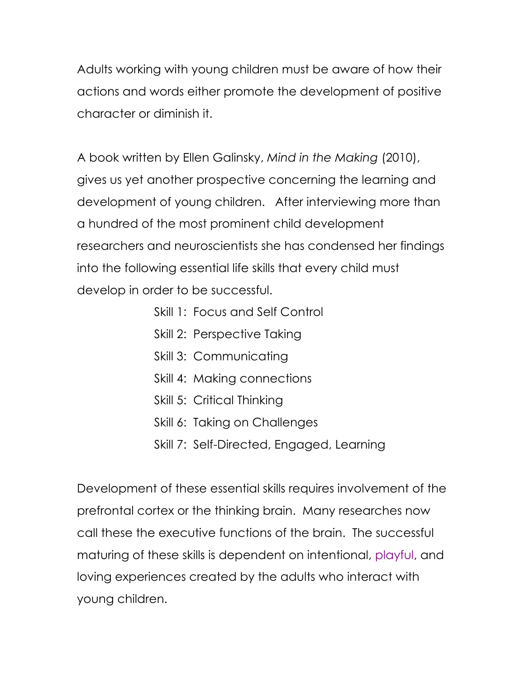Adults working with young children must be aware of how their actions and words either promote the development of positive character or diminish it.

A book written by Ellen Galinsky, *Mind in the Making* (2010), gives us yet another prospective concerning the learning and development of young children. After interviewing more than a hundred of the most prominent child development researchers and neuroscientists she has condensed her findings into the following essential life skills that every child must develop in order to be successful.

- Skill 1: Focus and Self Control
- Skill 2: Perspective Taking
- Skill 3: Communicating
- Skill 4: Making connections
- Skill 5: Critical Thinking
- Skill 6: Taking on Challenges
- Skill 7: Self-Directed, Engaged, Learning

Development of these essential skills requires involvement of the prefrontal cortex or the thinking brain. Many researches now call these the executive functions of the brain. The successful maturing of these skills is dependent on intentional, playful, and loving experiences created by the adults who interact with young children.